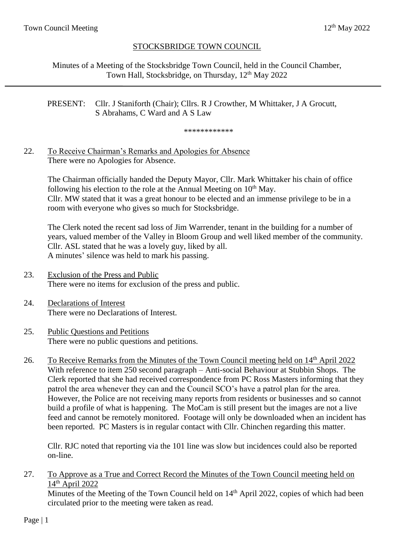## STOCKSBRIDGE TOWN COUNCIL

Minutes of a Meeting of the Stocksbridge Town Council, held in the Council Chamber, Town Hall, Stocksbridge, on Thursday, 12<sup>th</sup> May 2022

### PRESENT: Cllr. J Staniforth (Chair); Cllrs. R J Crowther, M Whittaker, J A Grocutt, S Abrahams, C Ward and A S Law

\*\*\*\*\*\*\*\*\*\*\*\*

## 22. To Receive Chairman's Remarks and Apologies for Absence There were no Apologies for Absence.

The Chairman officially handed the Deputy Mayor, Cllr. Mark Whittaker his chain of office following his election to the role at the Annual Meeting on  $10<sup>th</sup>$  May. Cllr. MW stated that it was a great honour to be elected and an immense privilege to be in a room with everyone who gives so much for Stocksbridge.

The Clerk noted the recent sad loss of Jim Warrender, tenant in the building for a number of years, valued member of the Valley in Bloom Group and well liked member of the community. Cllr. ASL stated that he was a lovely guy, liked by all. A minutes' silence was held to mark his passing.

- 23. Exclusion of the Press and Public There were no items for exclusion of the press and public.
- 24. Declarations of Interest There were no Declarations of Interest.
- 25. Public Questions and Petitions There were no public questions and petitions.
- 26. To Receive Remarks from the Minutes of the Town Council meeting held on 14<sup>th</sup> April 2022 With reference to item 250 second paragraph – Anti-social Behaviour at Stubbin Shops. The Clerk reported that she had received correspondence from PC Ross Masters informing that they patrol the area whenever they can and the Council SCO's have a patrol plan for the area. However, the Police are not receiving many reports from residents or businesses and so cannot build a profile of what is happening. The MoCam is still present but the images are not a live feed and cannot be remotely monitored. Footage will only be downloaded when an incident has been reported. PC Masters is in regular contact with Cllr. Chinchen regarding this matter.

Cllr. RJC noted that reporting via the 101 line was slow but incidences could also be reported on-line.

### 27. To Approve as a True and Correct Record the Minutes of the Town Council meeting held on 14<sup>th</sup> April 2022

Minutes of the Meeting of the Town Council held on 14<sup>th</sup> April 2022, copies of which had been circulated prior to the meeting were taken as read.

Page | 1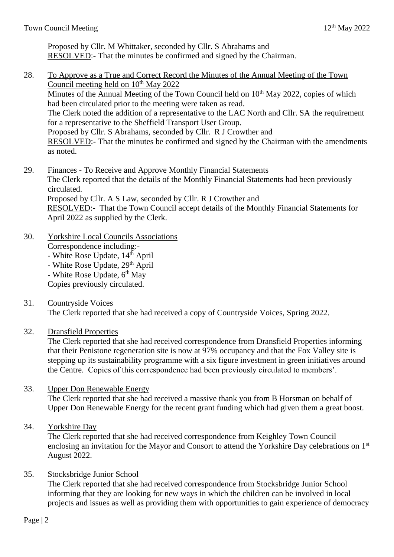Proposed by Cllr. M Whittaker, seconded by Cllr. S Abrahams and RESOLVED:- That the minutes be confirmed and signed by the Chairman.

- 28. To Approve as a True and Correct Record the Minutes of the Annual Meeting of the Town Council meeting held on  $10<sup>th</sup>$  May 2022 Minutes of the Annual Meeting of the Town Council held on  $10<sup>th</sup>$  May 2022, copies of which had been circulated prior to the meeting were taken as read. The Clerk noted the addition of a representative to the LAC North and Cllr. SA the requirement for a representative to the Sheffield Transport User Group. Proposed by Cllr. S Abrahams, seconded by Cllr. R J Crowther and RESOLVED:- That the minutes be confirmed and signed by the Chairman with the amendments as noted.
- 29. Finances To Receive and Approve Monthly Financial Statements The Clerk reported that the details of the Monthly Financial Statements had been previously circulated. Proposed by Cllr. A S Law, seconded by Cllr. R J Crowther and RESOLVED:- That the Town Council accept details of the Monthly Financial Statements for April 2022 as supplied by the Clerk.
- 30. Yorkshire Local Councils Associations Correspondence including:-
	- White Rose Update, 14<sup>th</sup> April
	- White Rose Update, 29<sup>th</sup> April
	- White Rose Update, 6<sup>th</sup> May

Copies previously circulated.

31. Countryside Voices

The Clerk reported that she had received a copy of Countryside Voices, Spring 2022.

32. Dransfield Properties

The Clerk reported that she had received correspondence from Dransfield Properties informing that their Penistone regeneration site is now at 97% occupancy and that the Fox Valley site is stepping up its sustainability programme with a six figure investment in green initiatives around the Centre. Copies of this correspondence had been previously circulated to members'.

# 33. Upper Don Renewable Energy

The Clerk reported that she had received a massive thank you from B Horsman on behalf of Upper Don Renewable Energy for the recent grant funding which had given them a great boost.

34. Yorkshire Day

The Clerk reported that she had received correspondence from Keighley Town Council enclosing an invitation for the Mayor and Consort to attend the Yorkshire Day celebrations on 1<sup>st</sup> August 2022.

# 35. Stocksbridge Junior School

The Clerk reported that she had received correspondence from Stocksbridge Junior School informing that they are looking for new ways in which the children can be involved in local projects and issues as well as providing them with opportunities to gain experience of democracy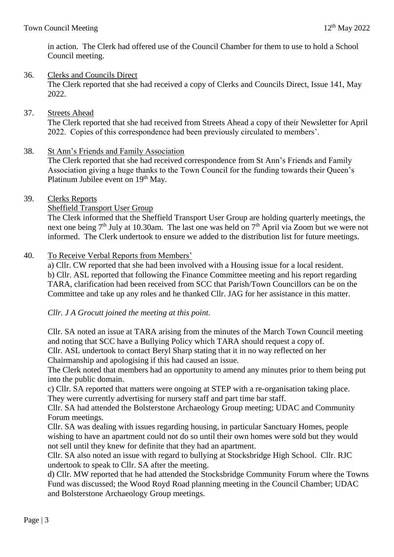in action. The Clerk had offered use of the Council Chamber for them to use to hold a School Council meeting.

## 36. Clerks and Councils Direct

The Clerk reported that she had received a copy of Clerks and Councils Direct, Issue 141, May 2022.

#### 37. Streets Ahead

The Clerk reported that she had received from Streets Ahead a copy of their Newsletter for April 2022. Copies of this correspondence had been previously circulated to members'.

38. St Ann's Friends and Family Association

The Clerk reported that she had received correspondence from St Ann's Friends and Family Association giving a huge thanks to the Town Council for the funding towards their Queen's Platinum Jubilee event on 19<sup>th</sup> May.

39. Clerks Reports

#### Sheffield Transport User Group

The Clerk informed that the Sheffield Transport User Group are holding quarterly meetings, the next one being  $7<sup>th</sup>$  July at 10.30am. The last one was held on  $7<sup>th</sup>$  April via Zoom but we were not informed. The Clerk undertook to ensure we added to the distribution list for future meetings.

#### 40. To Receive Verbal Reports from Members'

a) Cllr. CW reported that she had been involved with a Housing issue for a local resident. b) Cllr. ASL reported that following the Finance Committee meeting and his report regarding TARA, clarification had been received from SCC that Parish/Town Councillors can be on the Committee and take up any roles and he thanked Cllr. JAG for her assistance in this matter.

*Cllr. J A Grocutt joined the meeting at this point.*

Cllr. SA noted an issue at TARA arising from the minutes of the March Town Council meeting and noting that SCC have a Bullying Policy which TARA should request a copy of. Cllr. ASL undertook to contact Beryl Sharp stating that it in no way reflected on her

Chairmanship and apologising if this had caused an issue.

The Clerk noted that members had an opportunity to amend any minutes prior to them being put into the public domain.

c) Cllr. SA reported that matters were ongoing at STEP with a re-organisation taking place. They were currently advertising for nursery staff and part time bar staff.

Cllr. SA had attended the Bolsterstone Archaeology Group meeting; UDAC and Community Forum meetings.

Cllr. SA was dealing with issues regarding housing, in particular Sanctuary Homes, people wishing to have an apartment could not do so until their own homes were sold but they would not sell until they knew for definite that they had an apartment.

Cllr. SA also noted an issue with regard to bullying at Stocksbridge High School. Cllr. RJC undertook to speak to Cllr. SA after the meeting.

d) Cllr. MW reported that he had attended the Stocksbridge Community Forum where the Towns Fund was discussed; the Wood Royd Road planning meeting in the Council Chamber; UDAC and Bolsterstone Archaeology Group meetings.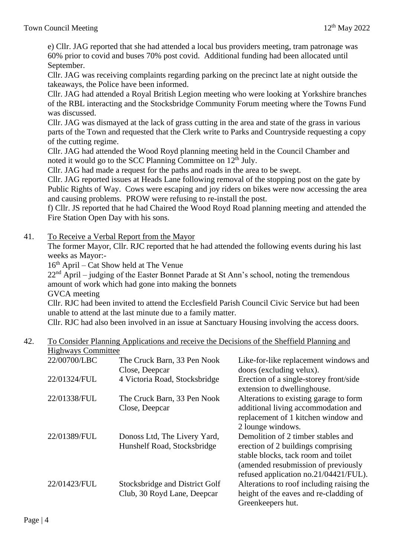e) Cllr. JAG reported that she had attended a local bus providers meeting, tram patronage was 60% prior to covid and buses 70% post covid. Additional funding had been allocated until September.

Cllr. JAG was receiving complaints regarding parking on the precinct late at night outside the takeaways, the Police have been informed.

Cllr. JAG had attended a Royal British Legion meeting who were looking at Yorkshire branches of the RBL interacting and the Stocksbridge Community Forum meeting where the Towns Fund was discussed.

Cllr. JAG was dismayed at the lack of grass cutting in the area and state of the grass in various parts of the Town and requested that the Clerk write to Parks and Countryside requesting a copy of the cutting regime.

Cllr. JAG had attended the Wood Royd planning meeting held in the Council Chamber and noted it would go to the SCC Planning Committee on  $12<sup>th</sup>$  July.

Cllr. JAG had made a request for the paths and roads in the area to be swept.

Cllr. JAG reported issues at Heads Lane following removal of the stopping post on the gate by Public Rights of Way. Cows were escaping and joy riders on bikes were now accessing the area and causing problems. PROW were refusing to re-install the post.

f) Cllr. JS reported that he had Chaired the Wood Royd Road planning meeting and attended the Fire Station Open Day with his sons.

41. To Receive a Verbal Report from the Mayor

The former Mayor, Cllr. RJC reported that he had attended the following events during his last weeks as Mayor:-

 $16<sup>th</sup>$  April – Cat Show held at The Venue

 $22<sup>nd</sup>$  April – judging of the Easter Bonnet Parade at St Ann's school, noting the tremendous amount of work which had gone into making the bonnets

GVCA meeting

Cllr. RJC had been invited to attend the Ecclesfield Parish Council Civic Service but had been unable to attend at the last minute due to a family matter.

Cllr. RJC had also been involved in an issue at Sanctuary Housing involving the access doors.

## 42. To Consider Planning Applications and receive the Decisions of the Sheffield Planning and Highways Committee

| $\mathbf{r}$ |                                                               |                                                                                                                                                                                                 |
|--------------|---------------------------------------------------------------|-------------------------------------------------------------------------------------------------------------------------------------------------------------------------------------------------|
| 22/00700/LBC | The Cruck Barn, 33 Pen Nook<br>Close, Deepcar                 | Like-for-like replacement windows and<br>doors (excluding velux).                                                                                                                               |
| 22/01324/FUL | 4 Victoria Road, Stocksbridge                                 | Erection of a single-storey front/side<br>extension to dwellinghouse.                                                                                                                           |
| 22/01338/FUL | The Cruck Barn, 33 Pen Nook<br>Close, Deepcar                 | Alterations to existing garage to form<br>additional living accommodation and<br>replacement of 1 kitchen window and<br>2 lounge windows.                                                       |
| 22/01389/FUL | Donoss Ltd, The Livery Yard,<br>Hunshelf Road, Stocksbridge   | Demolition of 2 timber stables and<br>erection of 2 buildings comprising<br>stable blocks, tack room and toilet<br>(amended resubmission of previously<br>refused application no.21/04421/FUL). |
| 22/01423/FUL | Stocksbridge and District Golf<br>Club, 30 Royd Lane, Deepcar | Alterations to roof including raising the<br>height of the eaves and re-cladding of<br>Greenkeepers hut.                                                                                        |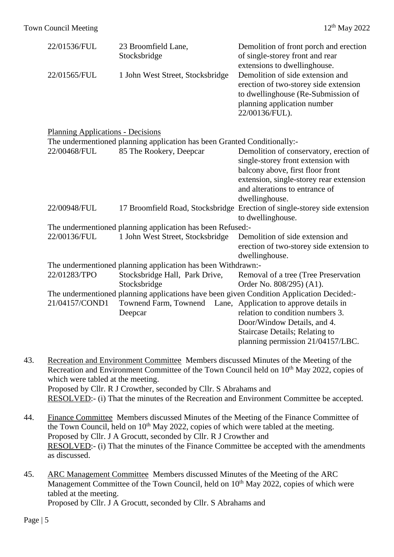| 22/01536/FUL                                                                             | 23 Broomfield Lane,<br>Stocksbridge                                      | Demolition of front porch and erection<br>of single-storey front and rear<br>extensions to dwellinghouse.                                                        |  |  |  |  |  |  |
|------------------------------------------------------------------------------------------|--------------------------------------------------------------------------|------------------------------------------------------------------------------------------------------------------------------------------------------------------|--|--|--|--|--|--|
| 22/01565/FUL                                                                             | 1 John West Street, Stocksbridge                                         | Demolition of side extension and<br>erection of two-storey side extension<br>to dwellinghouse (Re-Submission of<br>planning application number<br>22/00136/FUL). |  |  |  |  |  |  |
| <b>Planning Applications - Decisions</b>                                                 |                                                                          |                                                                                                                                                                  |  |  |  |  |  |  |
|                                                                                          | The undermentioned planning application has been Granted Conditionally:- |                                                                                                                                                                  |  |  |  |  |  |  |
| 22/00468/FUL                                                                             | 85 The Rookery, Deepcar                                                  | Demolition of conservatory, erection of<br>single-storey front extension with<br>balcony above, first floor front<br>extension, single-storey rear extension     |  |  |  |  |  |  |
|                                                                                          |                                                                          | and alterations to entrance of<br>dwellinghouse.                                                                                                                 |  |  |  |  |  |  |
| 22/00948/FUL                                                                             |                                                                          | 17 Broomfield Road, Stocksbridge Erection of single-storey side extension<br>to dwellinghouse.                                                                   |  |  |  |  |  |  |
|                                                                                          | The undermentioned planning application has been Refused:-               |                                                                                                                                                                  |  |  |  |  |  |  |
| 22/00136/FUL                                                                             | 1 John West Street, Stocksbridge                                         | Demolition of side extension and<br>erection of two-storey side extension to<br>dwellinghouse.                                                                   |  |  |  |  |  |  |
|                                                                                          | The undermentioned planning application has been Withdrawn:-             |                                                                                                                                                                  |  |  |  |  |  |  |
| 22/01283/TPO                                                                             | Stocksbridge Hall, Park Drive,                                           | Removal of a tree (Tree Preservation                                                                                                                             |  |  |  |  |  |  |
|                                                                                          | Stocksbridge                                                             | Order No. 808/295) (A1).                                                                                                                                         |  |  |  |  |  |  |
| The undermentioned planning applications have been given Condition Application Decided:- |                                                                          |                                                                                                                                                                  |  |  |  |  |  |  |
| 21/04157/COND1                                                                           | Townend Farm, Townend                                                    | Lane, Application to approve details in                                                                                                                          |  |  |  |  |  |  |
|                                                                                          | Deepcar                                                                  | relation to condition numbers 3.                                                                                                                                 |  |  |  |  |  |  |
|                                                                                          |                                                                          | Door/Window Details, and 4.                                                                                                                                      |  |  |  |  |  |  |
|                                                                                          |                                                                          | Staircase Details; Relating to                                                                                                                                   |  |  |  |  |  |  |
|                                                                                          |                                                                          | planning permission 21/04157/LBC.                                                                                                                                |  |  |  |  |  |  |

- 43. Recreation and Environment Committee Members discussed Minutes of the Meeting of the Recreation and Environment Committee of the Town Council held on 10<sup>th</sup> May 2022, copies of which were tabled at the meeting. Proposed by Cllr. R J Crowther, seconded by Cllr. S Abrahams and RESOLVED:- (i) That the minutes of the Recreation and Environment Committee be accepted.
- 44. Finance Committee Members discussed Minutes of the Meeting of the Finance Committee of the Town Council, held on  $10<sup>th</sup>$  May 2022, copies of which were tabled at the meeting. Proposed by Cllr. J A Grocutt, seconded by Cllr. R J Crowther and RESOLVED:- (i) That the minutes of the Finance Committee be accepted with the amendments as discussed.
- 45. ARC Management Committee Members discussed Minutes of the Meeting of the ARC Management Committee of the Town Council, held on  $10<sup>th</sup>$  May 2022, copies of which were tabled at the meeting. Proposed by Cllr. J A Grocutt, seconded by Cllr. S Abrahams and